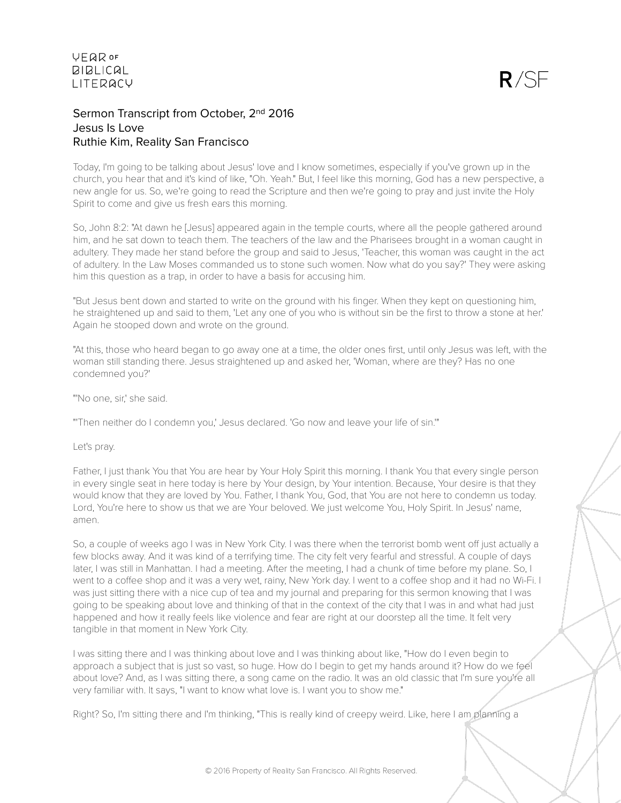# Sermon Transcript from October, 2<sup>nd</sup> 2016 Jesus Is Love Ruthie Kim, Reality San Francisco

Today, I'm going to be talking about Jesus' love and I know sometimes, especially if you've grown up in the church, you hear that and it's kind of like, "Oh. Yeah." But, I feel like this morning, God has a new perspective, a new angle for us. So, we're going to read the Scripture and then we're going to pray and just invite the Holy Spirit to come and give us fresh ears this morning.

So, John 8:2: "At dawn he [Jesus] appeared again in the temple courts, where all the people gathered around him, and he sat down to teach them. The teachers of the law and the Pharisees brought in a woman caught in adultery. They made her stand before the group and said to Jesus, 'Teacher, this woman was caught in the act of adultery. In the Law Moses commanded us to stone such women. Now what do you say?' They were asking him this question as a trap, in order to have a basis for accusing him.

"But Jesus bent down and started to write on the ground with his finger. When they kept on questioning him, he straightened up and said to them, 'Let any one of you who is without sin be the first to throw a stone at her.' Again he stooped down and wrote on the ground.

"At this, those who heard began to go away one at a time, the older ones first, until only Jesus was left, with the woman still standing there. Jesus straightened up and asked her, 'Woman, where are they? Has no one condemned you?'

"'No one, sir,' she said.

"'Then neither do I condemn you,' Jesus declared. 'Go now and leave your life of sin.'"

Let's pray.

Father, I just thank You that You are hear by Your Holy Spirit this morning. I thank You that every single person in every single seat in here today is here by Your design, by Your intention. Because, Your desire is that they would know that they are loved by You. Father, I thank You, God, that You are not here to condemn us today. Lord, You're here to show us that we are Your beloved. We just welcome You, Holy Spirit. In Jesus' name, amen.

So, a couple of weeks ago I was in New York City. I was there when the terrorist bomb went off just actually a few blocks away. And it was kind of a terrifying time. The city felt very fearful and stressful. A couple of days later, I was still in Manhattan. I had a meeting. After the meeting, I had a chunk of time before my plane. So, I went to a coffee shop and it was a very wet, rainy, New York day. I went to a coffee shop and it had no Wi-Fi. I was just sitting there with a nice cup of tea and my journal and preparing for this sermon knowing that I was going to be speaking about love and thinking of that in the context of the city that I was in and what had just happened and how it really feels like violence and fear are right at our doorstep all the time. It felt very tangible in that moment in New York City.

I was sitting there and I was thinking about love and I was thinking about like, "How do I even begin to approach a subject that is just so vast, so huge. How do I begin to get my hands around it? How do we feel about love? And, as I was sitting there, a song came on the radio. It was an old classic that I'm sure you're all very familiar with. It says, "I want to know what love is. I want you to show me."

Right? So, I'm sitting there and I'm thinking, "This is really kind of creepy weird. Like, here I am planning a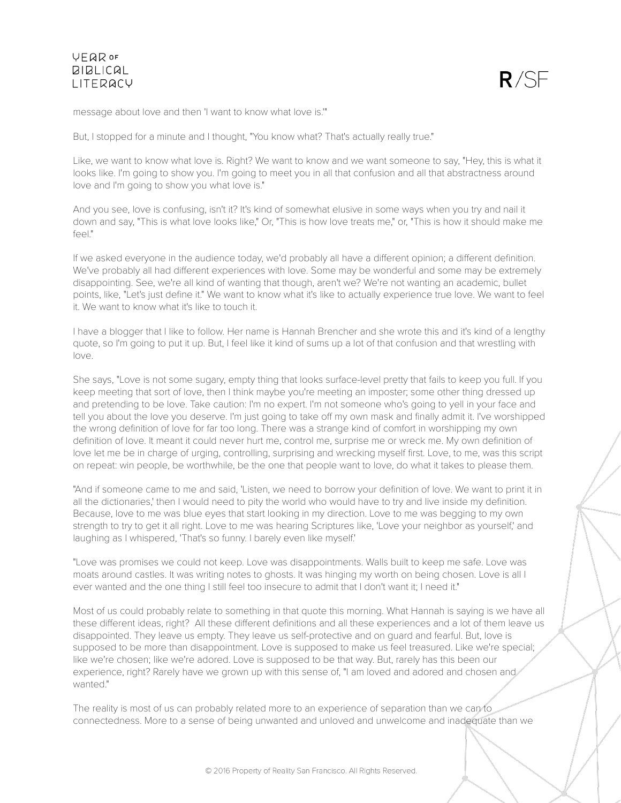

message about love and then 'I want to know what love is.'"

But, I stopped for a minute and I thought, "You know what? That's actually really true."

Like, we want to know what love is. Right? We want to know and we want someone to say, "Hey, this is what it looks like. I'm going to show you. I'm going to meet you in all that confusion and all that abstractness around love and I'm going to show you what love is."

And you see, love is confusing, isn't it? It's kind of somewhat elusive in some ways when you try and nail it down and say, "This is what love looks like," Or, "This is how love treats me," or, "This is how it should make me feel."

If we asked everyone in the audience today, we'd probably all have a different opinion; a different definition. We've probably all had different experiences with love. Some may be wonderful and some may be extremely disappointing. See, we're all kind of wanting that though, aren't we? We're not wanting an academic, bullet points, like, "Let's just define it." We want to know what it's like to actually experience true love. We want to feel it. We want to know what it's like to touch it.

I have a blogger that I like to follow. Her name is Hannah Brencher and she wrote this and it's kind of a lengthy quote, so I'm going to put it up. But, I feel like it kind of sums up a lot of that confusion and that wrestling with love.

She says, "Love is not some sugary, empty thing that looks surface-level pretty that fails to keep you full. If you keep meeting that sort of love, then I think maybe you're meeting an imposter; some other thing dressed up and pretending to be love. Take caution: I'm no expert. I'm not someone who's going to yell in your face and tell you about the love you deserve. I'm just going to take off my own mask and finally admit it. I've worshipped the wrong definition of love for far too long. There was a strange kind of comfort in worshipping my own definition of love. It meant it could never hurt me, control me, surprise me or wreck me. My own definition of love let me be in charge of urging, controlling, surprising and wrecking myself first. Love, to me, was this script on repeat: win people, be worthwhile, be the one that people want to love, do what it takes to please them.

"And if someone came to me and said, 'Listen, we need to borrow your definition of love. We want to print it in all the dictionaries,' then I would need to pity the world who would have to try and live inside my definition. Because, love to me was blue eyes that start looking in my direction. Love to me was begging to my own strength to try to get it all right. Love to me was hearing Scriptures like, 'Love your neighbor as yourself,' and laughing as I whispered, 'That's so funny. I barely even like myself.'

"Love was promises we could not keep. Love was disappointments. Walls built to keep me safe. Love was moats around castles. It was writing notes to ghosts. It was hinging my worth on being chosen. Love is all I ever wanted and the one thing I still feel too insecure to admit that I don't want it; I need it."

Most of us could probably relate to something in that quote this morning. What Hannah is saying is we have all these different ideas, right? All these different definitions and all these experiences and a lot of them leave us disappointed. They leave us empty. They leave us self-protective and on guard and fearful. But, love is supposed to be more than disappointment. Love is supposed to make us feel treasured. Like we're special; like we're chosen; like we're adored. Love is supposed to be that way. But, rarely has this been our experience, right? Rarely have we grown up with this sense of, "I am loved and adored and chosen and wanted."

The reality is most of us can probably related more to an experience of separation than we can to connectedness. More to a sense of being unwanted and unloved and unwelcome and inadequate than we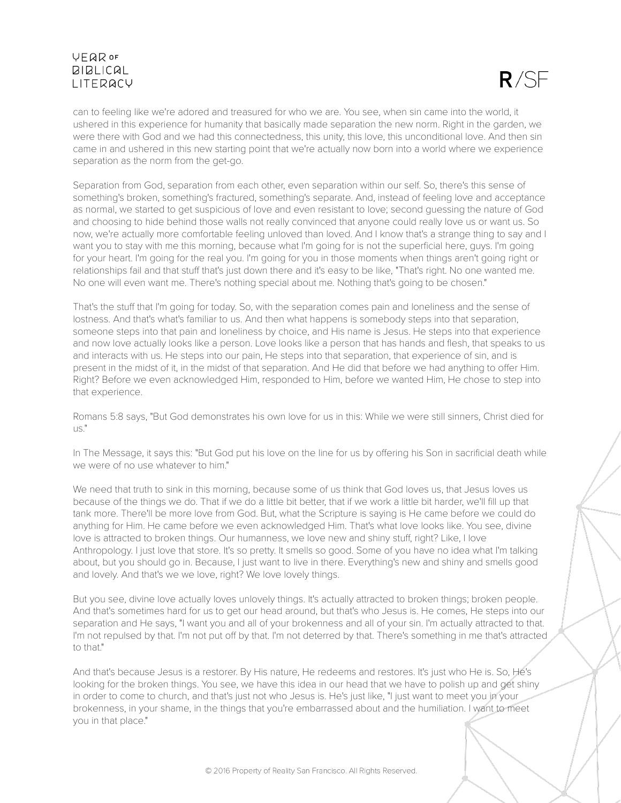

can to feeling like we're adored and treasured for who we are. You see, when sin came into the world, it ushered in this experience for humanity that basically made separation the new norm. Right in the garden, we were there with God and we had this connectedness, this unity, this love, this unconditional love. And then sin came in and ushered in this new starting point that we're actually now born into a world where we experience separation as the norm from the get-go.

Separation from God, separation from each other, even separation within our self. So, there's this sense of something's broken, something's fractured, something's separate. And, instead of feeling love and acceptance as normal, we started to get suspicious of love and even resistant to love; second guessing the nature of God and choosing to hide behind those walls not really convinced that anyone could really love us or want us. So now, we're actually more comfortable feeling unloved than loved. And I know that's a strange thing to say and I want you to stay with me this morning, because what I'm going for is not the superficial here, guys. I'm going for your heart. I'm going for the real you. I'm going for you in those moments when things aren't going right or relationships fail and that stuff that's just down there and it's easy to be like, "That's right. No one wanted me. No one will even want me. There's nothing special about me. Nothing that's going to be chosen."

That's the stuff that I'm going for today. So, with the separation comes pain and loneliness and the sense of lostness. And that's what's familiar to us. And then what happens is somebody steps into that separation, someone steps into that pain and loneliness by choice, and His name is Jesus. He steps into that experience and now love actually looks like a person. Love looks like a person that has hands and flesh, that speaks to us and interacts with us. He steps into our pain, He steps into that separation, that experience of sin, and is present in the midst of it, in the midst of that separation. And He did that before we had anything to offer Him. Right? Before we even acknowledged Him, responded to Him, before we wanted Him, He chose to step into that experience.

Romans 5:8 says, "But God demonstrates his own love for us in this: While we were still sinners, Christ died for us."

In The Message, it says this: "But God put his love on the line for us by offering his Son in sacrificial death while we were of no use whatever to him."

We need that truth to sink in this morning, because some of us think that God loves us, that Jesus loves us because of the things we do. That if we do a little bit better, that if we work a little bit harder, we'll fill up that tank more. There'll be more love from God. But, what the Scripture is saying is He came before we could do anything for Him. He came before we even acknowledged Him. That's what love looks like. You see, divine love is attracted to broken things. Our humanness, we love new and shiny stuff, right? Like, I love Anthropology. I just love that store. It's so pretty. It smells so good. Some of you have no idea what I'm talking about, but you should go in. Because, I just want to live in there. Everything's new and shiny and smells good and lovely. And that's we we love, right? We love lovely things.

But you see, divine love actually loves unlovely things. It's actually attracted to broken things; broken people. And that's sometimes hard for us to get our head around, but that's who Jesus is. He comes, He steps into our separation and He says, "I want you and all of your brokenness and all of your sin. I'm actually attracted to that. I'm not repulsed by that. I'm not put off by that. I'm not deterred by that. There's something in me that's attracted to that."

And that's because Jesus is a restorer. By His nature, He redeems and restores. It's just who He is. So, He's looking for the broken things. You see, we have this idea in our head that we have to polish up and get shiny in order to come to church, and that's just not who Jesus is. He's just like, "I just want to meet you in your brokenness, in your shame, in the things that you're embarrassed about and the humiliation. I want to meet you in that place."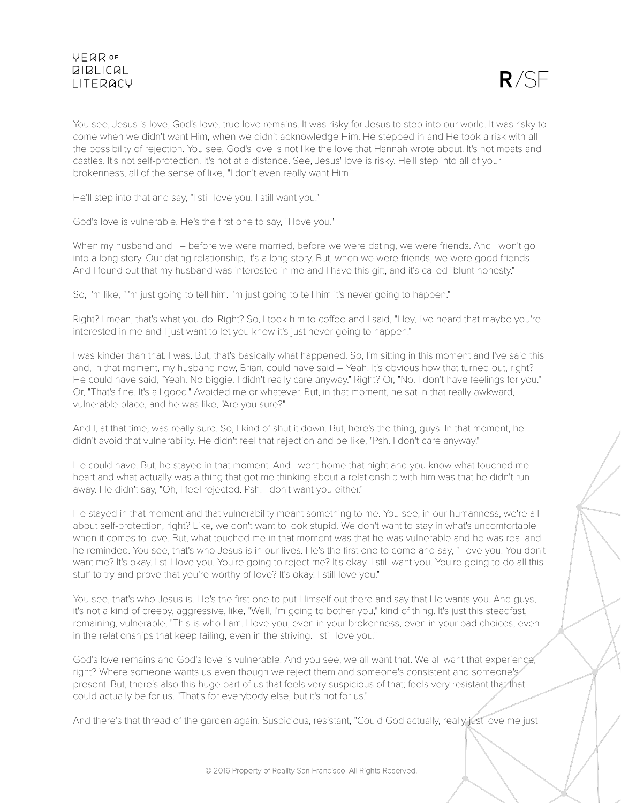

You see, Jesus is love, God's love, true love remains. It was risky for Jesus to step into our world. It was risky to come when we didn't want Him, when we didn't acknowledge Him. He stepped in and He took a risk with all the possibility of rejection. You see, God's love is not like the love that Hannah wrote about. It's not moats and castles. It's not self-protection. It's not at a distance. See, Jesus' love is risky. He'll step into all of your brokenness, all of the sense of like, "I don't even really want Him."

He'll step into that and say, "I still love you. I still want you."

God's love is vulnerable. He's the first one to say, "I love you."

When my husband and I – before we were married, before we were dating, we were friends. And I won't go into a long story. Our dating relationship, it's a long story. But, when we were friends, we were good friends. And I found out that my husband was interested in me and I have this gift, and it's called "blunt honesty."

So, I'm like, "I'm just going to tell him. I'm just going to tell him it's never going to happen."

Right? I mean, that's what you do. Right? So, I took him to coffee and I said, "Hey, I've heard that maybe you're interested in me and I just want to let you know it's just never going to happen."

I was kinder than that. I was. But, that's basically what happened. So, I'm sitting in this moment and I've said this and, in that moment, my husband now, Brian, could have said – Yeah. It's obvious how that turned out, right? He could have said, "Yeah. No biggie. I didn't really care anyway." Right? Or, "No. I don't have feelings for you." Or, "That's fine. It's all good." Avoided me or whatever. But, in that moment, he sat in that really awkward, vulnerable place, and he was like, "Are you sure?"

And I, at that time, was really sure. So, I kind of shut it down. But, here's the thing, guys. In that moment, he didn't avoid that vulnerability. He didn't feel that rejection and be like, "Psh. I don't care anyway."

He could have. But, he stayed in that moment. And I went home that night and you know what touched me heart and what actually was a thing that got me thinking about a relationship with him was that he didn't run away. He didn't say, "Oh, I feel rejected. Psh. I don't want you either."

He stayed in that moment and that vulnerability meant something to me. You see, in our humanness, we're all about self-protection, right? Like, we don't want to look stupid. We don't want to stay in what's uncomfortable when it comes to love. But, what touched me in that moment was that he was vulnerable and he was real and he reminded. You see, that's who Jesus is in our lives. He's the first one to come and say, "I love you. You don't want me? It's okay. I still love you. You're going to reject me? It's okay. I still want you. You're going to do all this stuff to try and prove that you're worthy of love? It's okay. I still love you."

You see, that's who Jesus is. He's the first one to put Himself out there and say that He wants you. And guys, it's not a kind of creepy, aggressive, like, "Well, I'm going to bother you," kind of thing. It's just this steadfast, remaining, vulnerable, "This is who I am. I love you, even in your brokenness, even in your bad choices, even in the relationships that keep failing, even in the striving. I still love you."

God's love remains and God's love is vulnerable. And you see, we all want that. We all want that experience, right? Where someone wants us even though we reject them and someone's consistent and someone's present. But, there's also this huge part of us that feels very suspicious of that; feels very resistant that that could actually be for us. "That's for everybody else, but it's not for us."

And there's that thread of the garden again. Suspicious, resistant, "Could God actually, really just love me just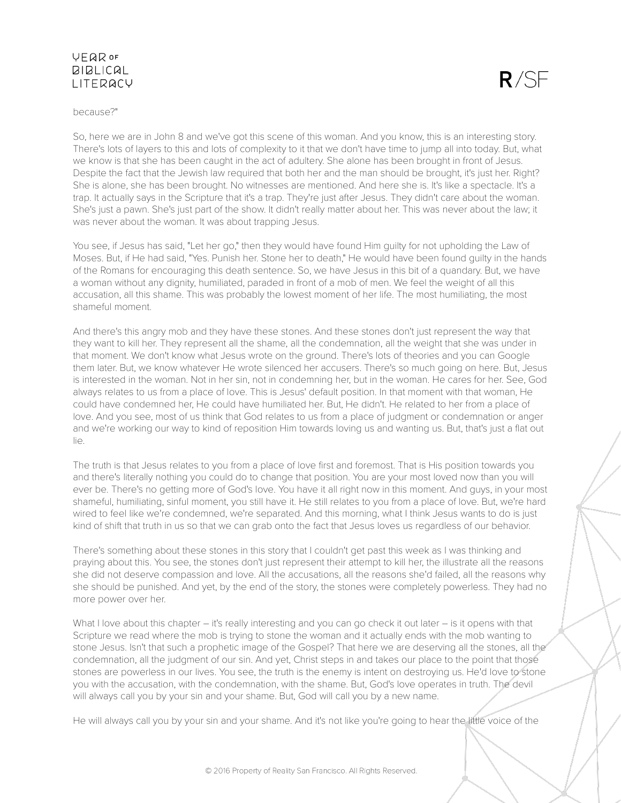#### because?"

So, here we are in John 8 and we've got this scene of this woman. And you know, this is an interesting story. There's lots of layers to this and lots of complexity to it that we don't have time to jump all into today. But, what we know is that she has been caught in the act of adultery. She alone has been brought in front of Jesus. Despite the fact that the Jewish law required that both her and the man should be brought, it's just her. Right? She is alone, she has been brought. No witnesses are mentioned. And here she is. It's like a spectacle. It's a trap. It actually says in the Scripture that it's a trap. They're just after Jesus. They didn't care about the woman. She's just a pawn. She's just part of the show. It didn't really matter about her. This was never about the law; it was never about the woman. It was about trapping Jesus.

 $R/SE$ 

You see, if Jesus has said, "Let her go," then they would have found Him guilty for not upholding the Law of Moses. But, if He had said, "Yes. Punish her. Stone her to death," He would have been found guilty in the hands of the Romans for encouraging this death sentence. So, we have Jesus in this bit of a quandary. But, we have a woman without any dignity, humiliated, paraded in front of a mob of men. We feel the weight of all this accusation, all this shame. This was probably the lowest moment of her life. The most humiliating, the most shameful moment.

And there's this angry mob and they have these stones. And these stones don't just represent the way that they want to kill her. They represent all the shame, all the condemnation, all the weight that she was under in that moment. We don't know what Jesus wrote on the ground. There's lots of theories and you can Google them later. But, we know whatever He wrote silenced her accusers. There's so much going on here. But, Jesus is interested in the woman. Not in her sin, not in condemning her, but in the woman. He cares for her. See, God always relates to us from a place of love. This is Jesus' default position. In that moment with that woman, He could have condemned her, He could have humiliated her. But, He didn't. He related to her from a place of love. And you see, most of us think that God relates to us from a place of judgment or condemnation or anger and we're working our way to kind of reposition Him towards loving us and wanting us. But, that's just a flat out  $\mathsf{li}\, \mathsf{a}$ .

The truth is that Jesus relates to you from a place of love first and foremost. That is His position towards you and there's literally nothing you could do to change that position. You are your most loved now than you will ever be. There's no getting more of God's love. You have it all right now in this moment. And guys, in your most shameful, humiliating, sinful moment, you still have it. He still relates to you from a place of love. But, we're hard wired to feel like we're condemned, we're separated. And this morning, what I think Jesus wants to do is just kind of shift that truth in us so that we can grab onto the fact that Jesus loves us regardless of our behavior.

There's something about these stones in this story that I couldn't get past this week as I was thinking and praying about this. You see, the stones don't just represent their attempt to kill her, the illustrate all the reasons she did not deserve compassion and love. All the accusations, all the reasons she'd failed, all the reasons why she should be punished. And yet, by the end of the story, the stones were completely powerless. They had no more power over her.

What I love about this chapter – it's really interesting and you can go check it out later – is it opens with that Scripture we read where the mob is trying to stone the woman and it actually ends with the mob wanting to stone Jesus. Isn't that such a prophetic image of the Gospel? That here we are deserving all the stones, all the condemnation, all the judgment of our sin. And yet, Christ steps in and takes our place to the point that those stones are powerless in our lives. You see, the truth is the enemy is intent on destroying us. He'd love to stone you with the accusation, with the condemnation, with the shame. But, God's love operates in truth. The devil will always call you by your sin and your shame. But, God will call you by a new name.

He will always call you by your sin and your shame. And it's not like you're going to hear the little voice of the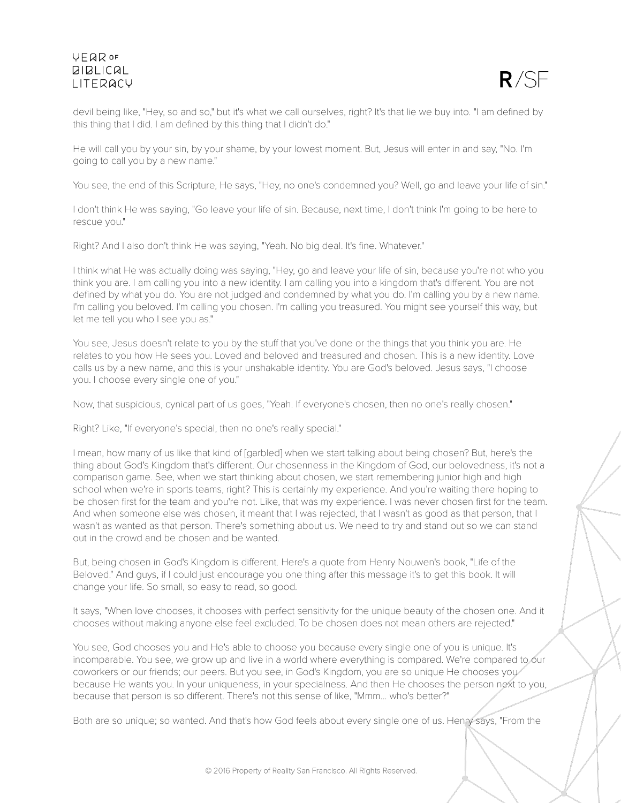

devil being like, "Hey, so and so," but it's what we call ourselves, right? It's that lie we buy into. "I am defined by this thing that I did. I am defined by this thing that I didn't do."

He will call you by your sin, by your shame, by your lowest moment. But, Jesus will enter in and say, "No. I'm going to call you by a new name."

You see, the end of this Scripture, He says, "Hey, no one's condemned you? Well, go and leave your life of sin."

I don't think He was saying, "Go leave your life of sin. Because, next time, I don't think I'm going to be here to rescue you."

Right? And I also don't think He was saying, "Yeah. No big deal. It's fine. Whatever."

I think what He was actually doing was saying, "Hey, go and leave your life of sin, because you're not who you think you are. I am calling you into a new identity. I am calling you into a kingdom that's different. You are not defined by what you do. You are not judged and condemned by what you do. I'm calling you by a new name. I'm calling you beloved. I'm calling you chosen. I'm calling you treasured. You might see yourself this way, but let me tell you who I see you as."

You see, Jesus doesn't relate to you by the stuff that you've done or the things that you think you are. He relates to you how He sees you. Loved and beloved and treasured and chosen. This is a new identity. Love calls us by a new name, and this is your unshakable identity. You are God's beloved. Jesus says, "I choose you. I choose every single one of you."

Now, that suspicious, cynical part of us goes, "Yeah. If everyone's chosen, then no one's really chosen."

Right? Like, "If everyone's special, then no one's really special."

I mean, how many of us like that kind of [garbled] when we start talking about being chosen? But, here's the thing about God's Kingdom that's different. Our chosenness in the Kingdom of God, our belovedness, it's not a comparison game. See, when we start thinking about chosen, we start remembering junior high and high school when we're in sports teams, right? This is certainly my experience. And you're waiting there hoping to be chosen first for the team and you're not. Like, that was my experience. I was never chosen first for the team. And when someone else was chosen, it meant that I was rejected, that I wasn't as good as that person, that I wasn't as wanted as that person. There's something about us. We need to try and stand out so we can stand out in the crowd and be chosen and be wanted.

But, being chosen in God's Kingdom is different. Here's a quote from Henry Nouwen's book, "Life of the Beloved." And guys, if I could just encourage you one thing after this message it's to get this book. It will change your life. So small, so easy to read, so good.

It says, "When love chooses, it chooses with perfect sensitivity for the unique beauty of the chosen one. And it chooses without making anyone else feel excluded. To be chosen does not mean others are rejected."

You see, God chooses you and He's able to choose you because every single one of you is unique. It's incomparable. You see, we grow up and live in a world where everything is compared. We're compared to our coworkers or our friends; our peers. But you see, in God's Kingdom, you are so unique He chooses you because He wants you. In your uniqueness, in your specialness. And then He chooses the person next to you, because that person is so different. There's not this sense of like, "Mmm... who's better?"

Both are so unique; so wanted. And that's how God feels about every single one of us. Henry says, "From the

© 2016 Property of Reality San Francisco. All Rights Reserved.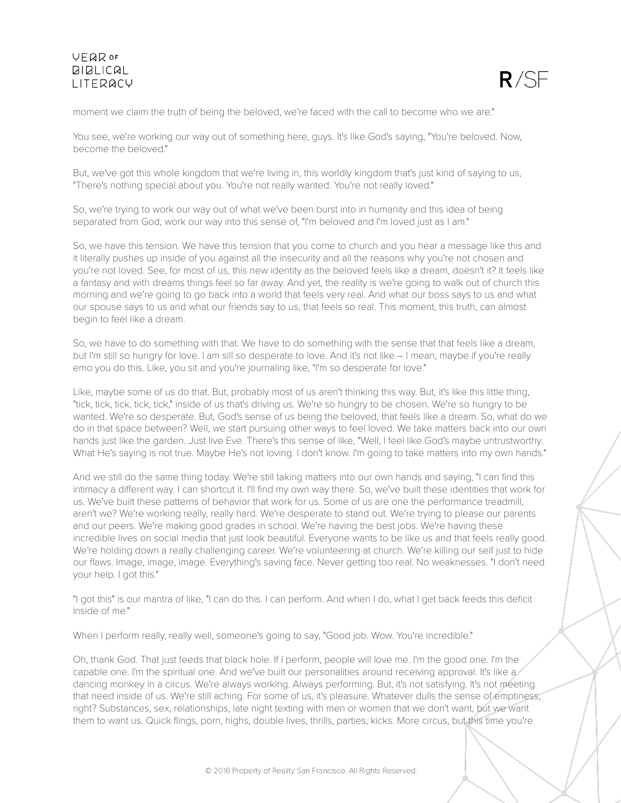

moment we claim the truth of being the beloved, we're faced with the call to become who we are."

You see, we're working our way out of something here, guys. It's like God's saying, "You're beloved. Now, become the beloved."

But, we've got this whole kingdom that we're living in, this worldly kingdom that's just kind of saying to us, "There's nothing special about you. You're not really wanted. You're not really loved."

So, we're trying to work our way out of what we've been burst into in humanity and this idea of being separated from God, work our way into this sense of, "I'm beloved and I'm loved just as I am."

So, we have this tension. We have this tension that you come to church and you hear a message like this and it literally pushes up inside of you against all the insecurity and all the reasons why you're not chosen and you're not loved. See, for most of us, this new identity as the beloved feels like a dream, doesn't it? It feels like a fantasy and with dreams things feel so far away. And yet, the reality is we're going to walk out of church this morning and we're going to go back into a world that feels very real. And what our boss says to us and what our spouse says to us and what our friends say to us, that feels so real. This moment, this truth, can almost begin to feel like a dream.

So, we have to do something with that. We have to do something with the sense that that feels like a dream, but I'm still so hungry for love. I am sill so desperate to love. And it's not like – I mean, maybe if you're really emo you do this. Like, you sit and you're journaling like, "I'm so desperate for love."

Like, maybe some of us do that. But, probably most of us aren't thinking this way. But, it's like this little thing, "tick, tick, tick, tick, tick," inside of us that's driving us. We're so hungry to be chosen. We're so hungry to be wanted. We're so desperate. But, God's sense of us being the beloved, that feels like a dream. So, what do we do in that space between? Well, we start pursuing other ways to feel loved. We take matters back into our own hands just like the garden. Just live Eve. There's this sense of like, "Well, I feel like God's maybe untrustworthy. What He's saying is not true. Maybe He's not loving. I don't know. I'm going to take matters into my own hands."

And we still do the same thing today. We're still taking matters into our own hands and saying, "I can find this intimacy a different way. I can shortcut it. I'll find my own way there. So, we've built these identities that work for us. We've built these patterns of behavior that work for us. Some of us are one the performance treadmill, aren't we? We're working really, really hard. We're desperate to stand out. We're trying to please our parents and our peers. We're making good grades in school. We're having the best jobs. We're having these incredible lives on social media that just look beautiful. Everyone wants to be like us and that feels really good. We're holding down a really challenging career. We're volunteering at church. We're killing our self just to hide our flaws. Image, image, image. Everything's saving face. Never getting too real. No weaknesses. "I don't need your help. I got this."

"I got this" is our mantra of like, "I can do this. I can perform. And when I do, what I get back feeds this deficit inside of me."

When I perform really, really well, someone's going to say, "Good job. Wow. You're incredible."

Oh, thank God. That just feeds that black hole. If I perform, people will love me. I'm the good one. I'm the capable one. I'm the spiritual one. And we've built our personalities around receiving approval. It's like a dancing monkey in a circus. We're always working. Always performing. But, it's not satisfying. It's not meeting that need inside of us. We're still aching. For some of us, it's pleasure. Whatever dulls the sense of emptiness, right? Substances, sex, relationships, late night texting with men or women that we don't want, but we want them to want us. Quick flings, porn, highs, double lives, thrills, parties, kicks. More circus, but this time you're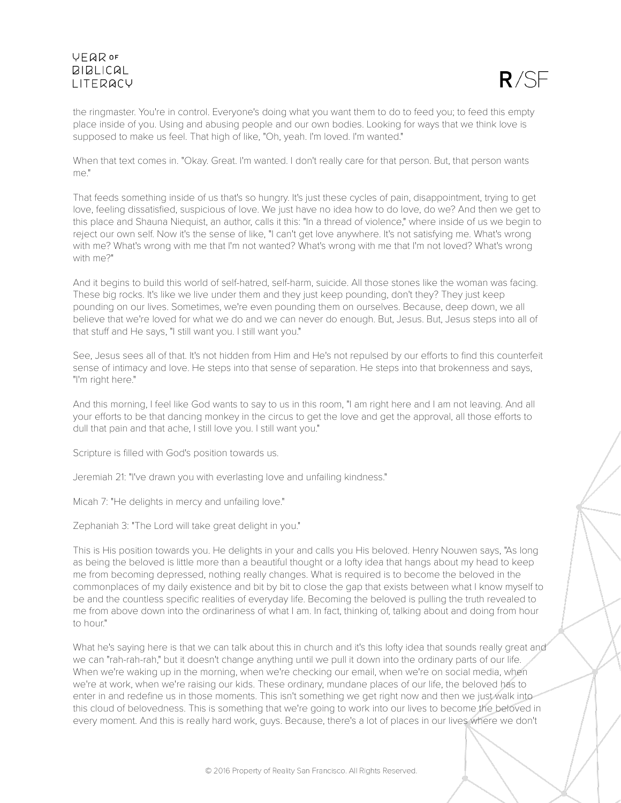

the ringmaster. You're in control. Everyone's doing what you want them to do to feed you; to feed this empty place inside of you. Using and abusing people and our own bodies. Looking for ways that we think love is supposed to make us feel. That high of like, "Oh, yeah. I'm loved. I'm wanted."

When that text comes in. "Okay. Great. I'm wanted. I don't really care for that person. But, that person wants me."

That feeds something inside of us that's so hungry. It's just these cycles of pain, disappointment, trying to get love, feeling dissatisfied, suspicious of love. We just have no idea how to do love, do we? And then we get to this place and Shauna Niequist, an author, calls it this: "In a thread of violence," where inside of us we begin to reject our own self. Now it's the sense of like, "I can't get love anywhere. It's not satisfying me. What's wrong with me? What's wrong with me that I'm not wanted? What's wrong with me that I'm not loved? What's wrong with me?"

And it begins to build this world of self-hatred, self-harm, suicide. All those stones like the woman was facing. These big rocks. It's like we live under them and they just keep pounding, don't they? They just keep pounding on our lives. Sometimes, we're even pounding them on ourselves. Because, deep down, we all believe that we're loved for what we do and we can never do enough. But, Jesus. But, Jesus steps into all of that stuff and He says, "I still want you. I still want you."

See, Jesus sees all of that. It's not hidden from Him and He's not repulsed by our efforts to find this counterfeit sense of intimacy and love. He steps into that sense of separation. He steps into that brokenness and says, "I'm right here."

And this morning, I feel like God wants to say to us in this room, "I am right here and I am not leaving. And all your efforts to be that dancing monkey in the circus to get the love and get the approval, all those efforts to dull that pain and that ache, I still love you. I still want you."

Scripture is filled with God's position towards us.

Jeremiah 21: "I've drawn you with everlasting love and unfailing kindness."

Micah 7: "He delights in mercy and unfailing love."

Zephaniah 3: "The Lord will take great delight in you."

This is His position towards you. He delights in your and calls you His beloved. Henry Nouwen says, "As long as being the beloved is little more than a beautiful thought or a lofty idea that hangs about my head to keep me from becoming depressed, nothing really changes. What is required is to become the beloved in the commonplaces of my daily existence and bit by bit to close the gap that exists between what I know myself to be and the countless specific realities of everyday life. Becoming the beloved is pulling the truth revealed to me from above down into the ordinariness of what I am. In fact, thinking of, talking about and doing from hour to hour."

What he's saying here is that we can talk about this in church and it's this lofty idea that sounds really great and we can "rah-rah-rah," but it doesn't change anything until we pull it down into the ordinary parts of our life. When we're waking up in the morning, when we're checking our email, when we're on social media, when we're at work, when we're raising our kids. These ordinary, mundane places of our life, the beloved has to enter in and redefine us in those moments. This isn't something we get right now and then we just walk into this cloud of belovedness. This is something that we're going to work into our lives to become the beloved in every moment. And this is really hard work, guys. Because, there's a lot of places in our lives where we don't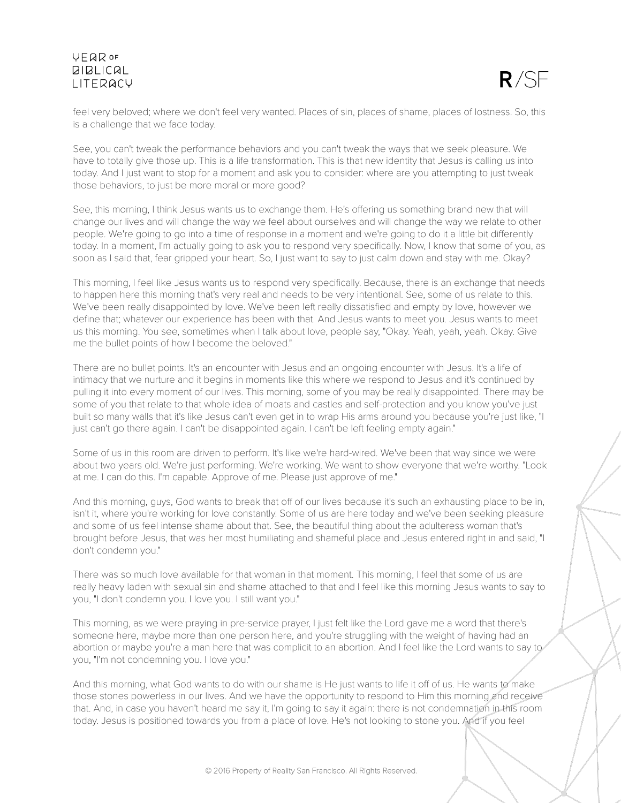

feel very beloved; where we don't feel very wanted. Places of sin, places of shame, places of lostness. So, this is a challenge that we face today.

See, you can't tweak the performance behaviors and you can't tweak the ways that we seek pleasure. We have to totally give those up. This is a life transformation. This is that new identity that Jesus is calling us into today. And I just want to stop for a moment and ask you to consider: where are you attempting to just tweak those behaviors, to just be more moral or more good?

See, this morning, I think Jesus wants us to exchange them. He's offering us something brand new that will change our lives and will change the way we feel about ourselves and will change the way we relate to other people. We're going to go into a time of response in a moment and we're going to do it a little bit differently today. In a moment, I'm actually going to ask you to respond very specifically. Now, I know that some of you, as soon as I said that, fear gripped your heart. So, I just want to say to just calm down and stay with me. Okay?

This morning, I feel like Jesus wants us to respond very specifically. Because, there is an exchange that needs to happen here this morning that's very real and needs to be very intentional. See, some of us relate to this. We've been really disappointed by love. We've been left really dissatisfied and empty by love, however we define that; whatever our experience has been with that. And Jesus wants to meet you. Jesus wants to meet us this morning. You see, sometimes when I talk about love, people say, "Okay. Yeah, yeah, yeah. Okay. Give me the bullet points of how I become the beloved."

There are no bullet points. It's an encounter with Jesus and an ongoing encounter with Jesus. It's a life of intimacy that we nurture and it begins in moments like this where we respond to Jesus and it's continued by pulling it into every moment of our lives. This morning, some of you may be really disappointed. There may be some of you that relate to that whole idea of moats and castles and self-protection and you know you've just built so many walls that it's like Jesus can't even get in to wrap His arms around you because you're just like, "I just can't go there again. I can't be disappointed again. I can't be left feeling empty again."

Some of us in this room are driven to perform. It's like we're hard-wired. We've been that way since we were about two years old. We're just performing. We're working. We want to show everyone that we're worthy. "Look at me. I can do this. I'm capable. Approve of me. Please just approve of me."

And this morning, guys, God wants to break that off of our lives because it's such an exhausting place to be in, isn't it, where you're working for love constantly. Some of us are here today and we've been seeking pleasure and some of us feel intense shame about that. See, the beautiful thing about the adulteress woman that's brought before Jesus, that was her most humiliating and shameful place and Jesus entered right in and said, "I don't condemn you."

There was so much love available for that woman in that moment. This morning, I feel that some of us are really heavy laden with sexual sin and shame attached to that and I feel like this morning Jesus wants to say to you, "I don't condemn you. I love you. I still want you."

This morning, as we were praying in pre-service prayer, I just felt like the Lord gave me a word that there's someone here, maybe more than one person here, and you're struggling with the weight of having had an abortion or maybe you're a man here that was complicit to an abortion. And I feel like the Lord wants to say to you, "I'm not condemning you. I love you."

And this morning, what God wants to do with our shame is He just wants to life it off of us. He wants to make those stones powerless in our lives. And we have the opportunity to respond to Him this morning and receive that. And, in case you haven't heard me say it, I'm going to say it again: there is not condemnation in this room today. Jesus is positioned towards you from a place of love. He's not looking to stone you. And if you feel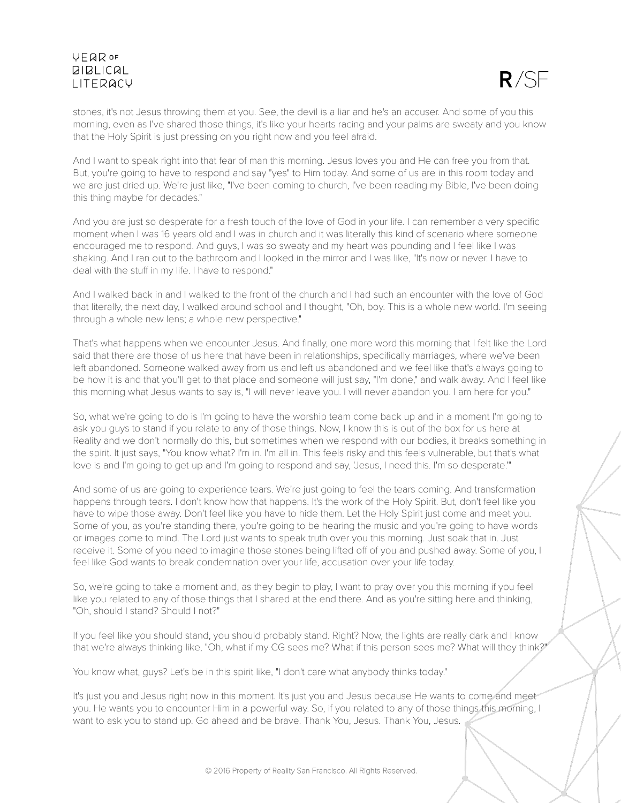

stones, it's not Jesus throwing them at you. See, the devil is a liar and he's an accuser. And some of you this morning, even as I've shared those things, it's like your hearts racing and your palms are sweaty and you know that the Holy Spirit is just pressing on you right now and you feel afraid.

And I want to speak right into that fear of man this morning. Jesus loves you and He can free you from that. But, you're going to have to respond and say "yes" to Him today. And some of us are in this room today and we are just dried up. We're just like, "I've been coming to church, I've been reading my Bible, I've been doing this thing maybe for decades."

And you are just so desperate for a fresh touch of the love of God in your life. I can remember a very specific moment when I was 16 years old and I was in church and it was literally this kind of scenario where someone encouraged me to respond. And guys, I was so sweaty and my heart was pounding and I feel like I was shaking. And I ran out to the bathroom and I looked in the mirror and I was like, "It's now or never. I have to deal with the stuff in my life. I have to respond."

And I walked back in and I walked to the front of the church and I had such an encounter with the love of God that literally, the next day, I walked around school and I thought, "Oh, boy. This is a whole new world. I'm seeing through a whole new lens; a whole new perspective."

That's what happens when we encounter Jesus. And finally, one more word this morning that I felt like the Lord said that there are those of us here that have been in relationships, specifically marriages, where we've been left abandoned. Someone walked away from us and left us abandoned and we feel like that's always going to be how it is and that you'll get to that place and someone will just say, "I'm done," and walk away. And I feel like this morning what Jesus wants to say is, "I will never leave you. I will never abandon you. I am here for you."

So, what we're going to do is I'm going to have the worship team come back up and in a moment I'm going to ask you guys to stand if you relate to any of those things. Now, I know this is out of the box for us here at Reality and we don't normally do this, but sometimes when we respond with our bodies, it breaks something in the spirit. It just says, "You know what? I'm in. I'm all in. This feels risky and this feels vulnerable, but that's what love is and I'm going to get up and I'm going to respond and say, 'Jesus, I need this. I'm so desperate.'"

And some of us are going to experience tears. We're just going to feel the tears coming. And transformation happens through tears. I don't know how that happens. It's the work of the Holy Spirit. But, don't feel like you have to wipe those away. Don't feel like you have to hide them. Let the Holy Spirit just come and meet you. Some of you, as you're standing there, you're going to be hearing the music and you're going to have words or images come to mind. The Lord just wants to speak truth over you this morning. Just soak that in. Just receive it. Some of you need to imagine those stones being lifted off of you and pushed away. Some of you, I feel like God wants to break condemnation over your life, accusation over your life today.

So, we're going to take a moment and, as they begin to play, I want to pray over you this morning if you feel like you related to any of those things that I shared at the end there. And as you're sitting here and thinking, "Oh, should I stand? Should I not?"

If you feel like you should stand, you should probably stand. Right? Now, the lights are really dark and I know that we're always thinking like, "Oh, what if my CG sees me? What if this person sees me? What will they think?"

You know what, guys? Let's be in this spirit like, "I don't care what anybody thinks today."

It's just you and Jesus right now in this moment. It's just you and Jesus because He wants to come and meet you. He wants you to encounter Him in a powerful way. So, if you related to any of those things this morning, I want to ask you to stand up. Go ahead and be brave. Thank You, Jesus. Thank You, Jesus.